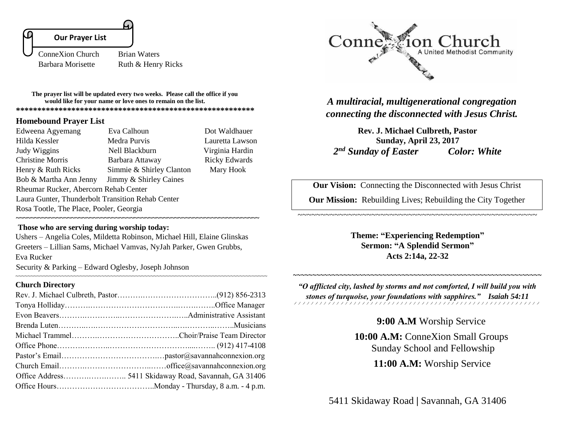# **Our Prayer List**

Ï

ConneXion Church Brian Waters

Barbara Morisette Ruth & Henry Ricks

**The prayer list will be updated every two weeks. Please call the office if you would like for your name or love ones to remain on the list. \*\*\*\*\*\*\*\*\*\*\*\*\*\*\*\*\*\*\*\*\*\*\*\*\*\*\*\*\*\*\*\*\*\*\*\*\*\*\*\*\*\*\*\*\*\*\*\*\*\*\*\*\*\*\*\***

### **Homebound Prayer List**

Edweena Agyemang Eva Calhoun Dot Waldhauer Hilda Kessler Medra Purvis Lauretta Lawson Judy Wiggins Nell Blackburn Virginia Hardin Christine Morris Barbara Attaway Ricky Edwards Henry & Ruth Ricks Simmie & Shirley Clanton Mary Hook Bob & Martha Ann Jenny Jimmy & Shirley Caines Rheumar Rucker, Abercorn Rehab Center Laura Gunter, Thunderbolt Transition Rehab Center Rosa Tootle, The Place, Pooler, Georgia

## **Those who are serving during worship today:**

Ushers – Angelia Coles, Mildetta Robinson, Michael Hill, Elaine Glinskas Greeters – Lillian Sams, Michael Vamvas, NyJah Parker, Gwen Grubbs, Eva Rucker Security & Parking – Edward Oglesby, Joseph Johnson

**~~~~~~~~~~~~~~~~~~~~~~~~~~~~~~~~~~~~~~~~~~~~~~~~~~~~~~~~~~~~~~~~~~**

#### **Church Directory**

~~~~~~~~~~~~~~~~~~~~~~~~~~~~~~~~~~~~~~~~~~~~~~~~~~~~~~~~~~~~~~~~~~~~~~~~~~~~~~~~~~



*A multiracial, multigenerational congregation connecting the disconnected with Jesus Christ.*

**Rev. J. Michael Culbreth, Pastor Sunday, April 23, 2017**  *2 nd Sunday of Easter Color: White*

**Our Vision:** Connecting the Disconnected with Jesus Christ

**Our Mission:** Rebuilding Lives; Rebuilding the City Together

~~~~~~~~~~~~~~~~~~~~~~~~~~~~~~~~~~~~~~~~~~~~~~~~~~~~

**Theme: "Experiencing Redemption" Sermon: "A Splendid Sermon" Acts 2:14a, 22-32**

*"O afflicted city, lashed by storms and not comforted, I will build you with stones of turquoise, your foundations with sapphires." Isaiah 54:11* 

~~~~~~~~~~~~~~~~~~~~~~~~~~~~~~~~~~~~~~~~~~~~~~~~~~~~~~~~~~~~~~~~

**9:00 A.M** Worship Service

**10:00 A.M:** ConneXion Small Groups Sunday School and Fellowship

 **11:00 A.M:** Worship Service

5411 Skidaway Road **|** Savannah, GA 31406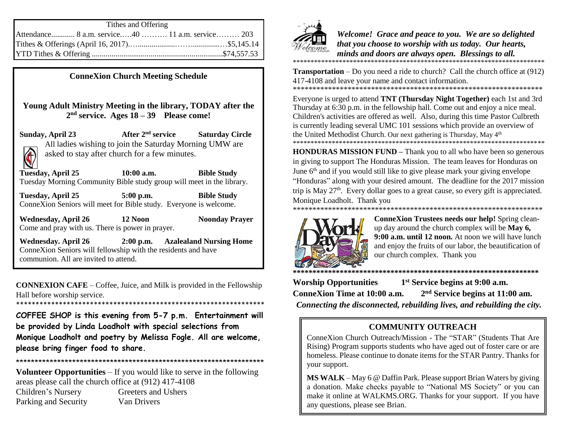| Tithes and Offering |  |  |
|---------------------|--|--|
|                     |  |  |
|                     |  |  |
|                     |  |  |

**ConneXion Church Meeting Schedule**

**Young Adult Ministry Meeting in the library, TODAY after the 2 nd service. Ages 18 – 39 Please come!**

**Sunday, April 23 After 2 Saturday Circle** All ladies wishing to join the Saturday Morning UMW are asked to stay after church for a few minutes.  $\bigcirc$ 

**Tuesday, April 25 10:00 a.m. Bible Study** Tuesday Morning Community Bible study group will meet in the library.

**Tuesday, April 25 5:00 p.m. Bible Study** ConneXion Seniors will meet for Bible study. Everyone is welcome.

**Wednesday, April 26 12 Noon Noonday Prayer** Come and pray with us. There is power in prayer.

**Wednesday. April 26 2:00 p.m. Azalealand Nursing Home**  ConneXion Seniors will fellowship with the residents and have communion. All are invited to attend.

**CONNEXION CAFE** – Coffee, Juice, and Milk is provided in the Fellowship Hall before worship service.

\*\*\*\*\*\*\*\*\*\*\*\*\*\*\*\*\*\*\*\*\*\*\*\*\*\*\*\*\*\*\*\*\*\*\*\*\*\*\*\*\*\*\*\*\*\*\*\*\*\*\*\*\*\*\*\*\*\*\*\*\*\*\*\*

**COFFEE SHOP is this evening from 5-7 p.m. Entertainment will be provided by Linda Loadholt with special selections from Monique Loadholt and poetry by Melissa Fogle. All are welcome, please bring finger food to share.** 

\*\*\*\*\*\*\*\*\*\*\*\*\*\*\*\*\*\*\*\*\*\*\*\*\*\*\*\*\*\*\*\*\*\*\*\*\*\*\*\*\*\*\*\*\*\*\*\*\*\*\*\*\*\*\*\*\*\*\*\*\*\*\*\*\*\*

**Volunteer Opportunities** – If you would like to serve in the following areas please call the church office at (912) 417-4108

Children's Nursery Greeters and Ushers Parking and Security Van Drivers



*Welcome! Grace and peace to you. We are so delighted that you choose to worship with us today. Our hearts, minds and doors are always open. Blessings to all.*  \*\*\*\*\*\*\*\*\*\*\*\*\*\*\*\*\*\*\*\*\*\*\*\*\*\*\*\*\*\*\*\*\*\*\*\*\*\*\*\*\*\*\*\*\*\*\*\*\*\*\*\*\*\*\*\*\*\*\*\*\*\*\*\*\*\*\*\*\*\*\*

**Transportation** – Do you need a ride to church? Call the church office at (912) 417-4108 and leave your name and contact information.

\*\*\*\*\*\*\*\*\*\*\*\*\*\*\*\*\*\*\*\*\*\*\*\*\*\*\*\*\*\*\*\*\*\*\*\*\*\*\*\*\*\*\*\*\*\*\*\*\*\*\*\*\*\*\*\*\*\*\*\*\*\*\*\* Everyone is urged to attend **TNT (Thursday Night Together)** each 1st and 3rd Thursday at 6:30 p.m. in the fellowship hall. Come out and enjoy a nice meal. Children's activities are offered as well. Also, during this time Pastor Culbreth is currently leading several UMC 101 sessions which provide an overview of the United Methodist Church. Our next gathering is Thursday, May 4<sup>th</sup> \*\*\*\*\*\*\*\*\*\*\*\*\*\*\*\*\*\*\*\*\*\*\*\*\*\*\*\*\*\*\*\*\*\*\*\*\*\*\*\*\*\*\*\*\*\*\*\*\*\*\*\*\*\*\*\*\*\*\*\*\*\*\*\*\*\*\*\*\*\*\*

**HONDURAS MISSION FUND** – Thank you to all who have been so generous in giving to support The Honduras Mission. The team leaves for Honduras on June  $6<sup>th</sup>$  and if you would still like to give please mark your giving envelope "Honduras" along with your desired amount. The deadline for the 2017 mission trip is May  $27<sup>th</sup>$ . Every dollar goes to a great cause, so every gift is appreciated. Monique Loadholt. Thank you



**ConneXion Trustees needs our help!** Spring cleanup day around the church complex will be **May 6, 9:00 a.m. until 12 noon.** At noon we will have lunch and enjoy the fruits of our labor, the beautification of our church complex. Thank you

**\*\*\*\*\*\*\*\*\*\*\*\*\*\*\*\*\*\*\*\*\*\*\*\*\*\*\*\*\*\*\*\*\*\*\*\*\*\*\*\*\*\*\*\*\*\*\*\*\*\*\*\*\*\*\*\*\*\*\*\*\*\*\* Worship Opportunities 1 st Service begins at 9:00 a.m. ConneXion Time at 10:00 a.m. 2 nd Service begins at 11:00 am.** *Connecting the disconnected, rebuilding lives, and rebuilding the city.*

## **COMMUNITY OUTREACH**

ConneXion Church Outreach/Mission - The "STAR" (Students That Are Rising) Program supports students who have aged out of foster care or are homeless. Please continue to donate items for the STAR Pantry. Thanks for your support.

**MS WALK** – May 6 @ Daffin Park. Please support Brian Waters by giving a donation. Make checks payable to "National MS Society" or you can make it online at WALKMS.ORG. Thanks for your support. If you have any questions, please see Brian.